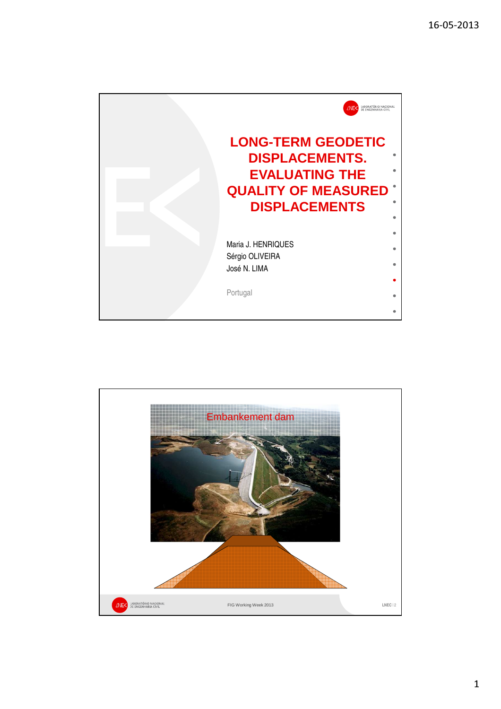

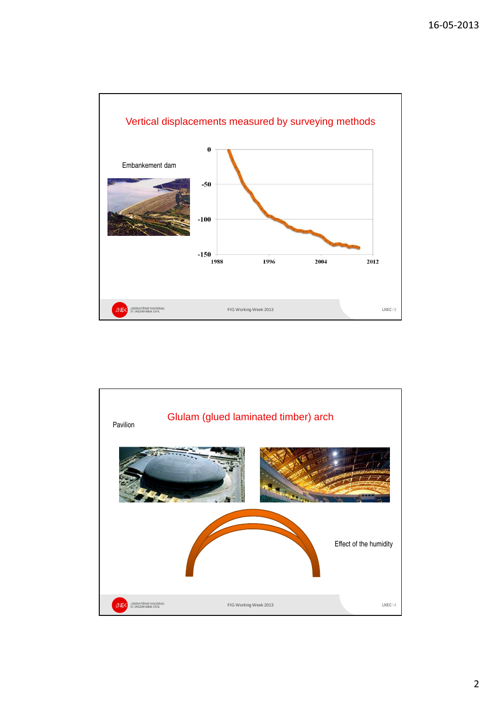

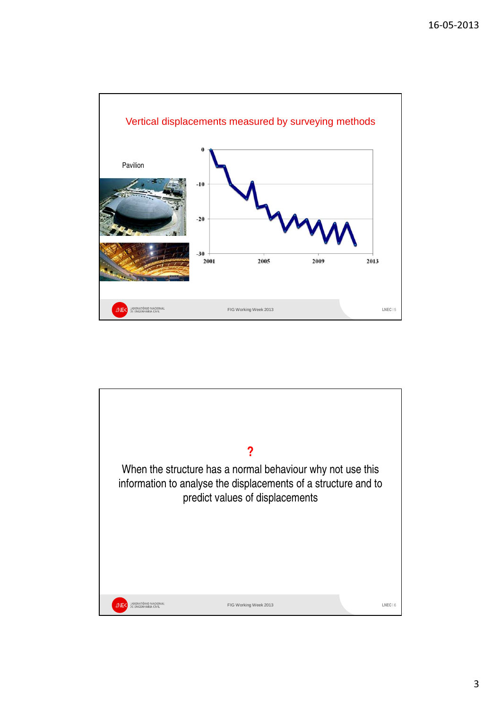

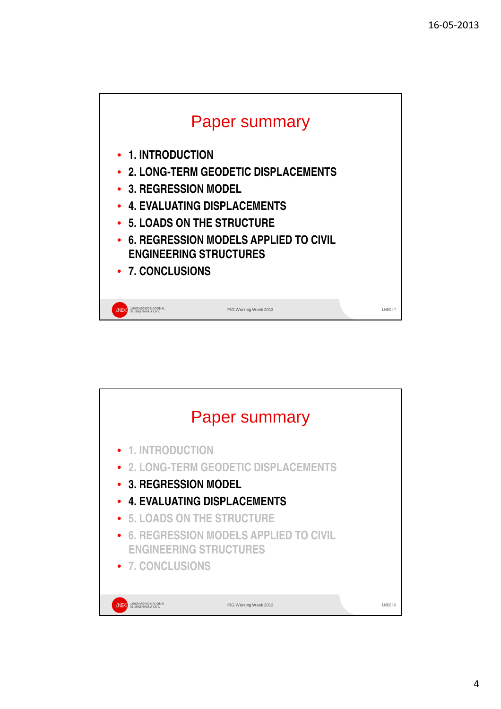



4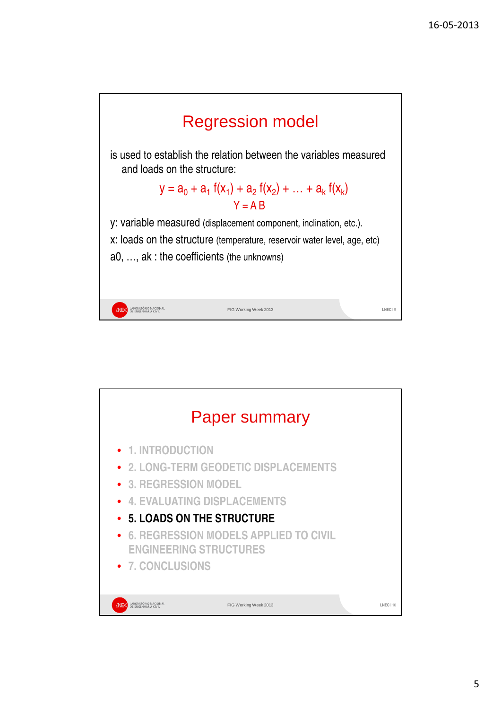

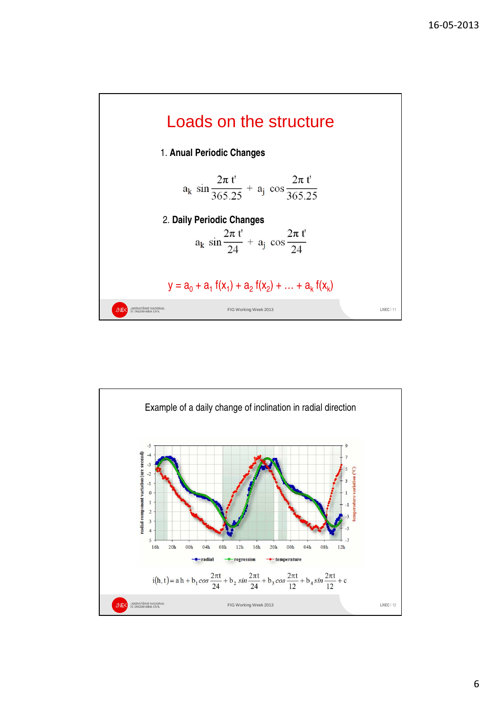

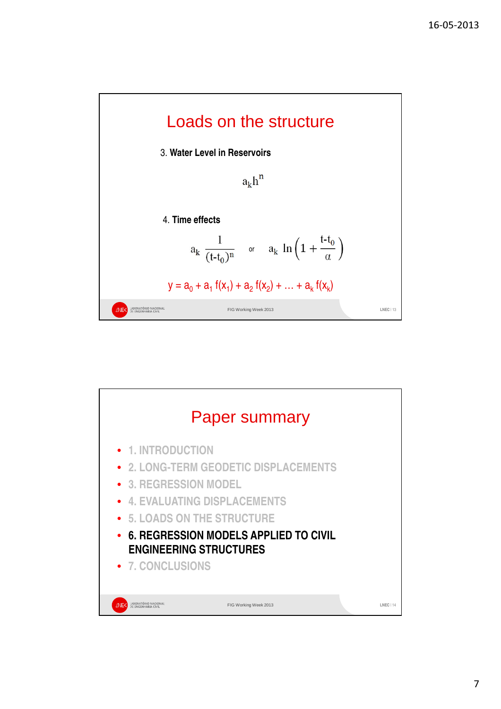



7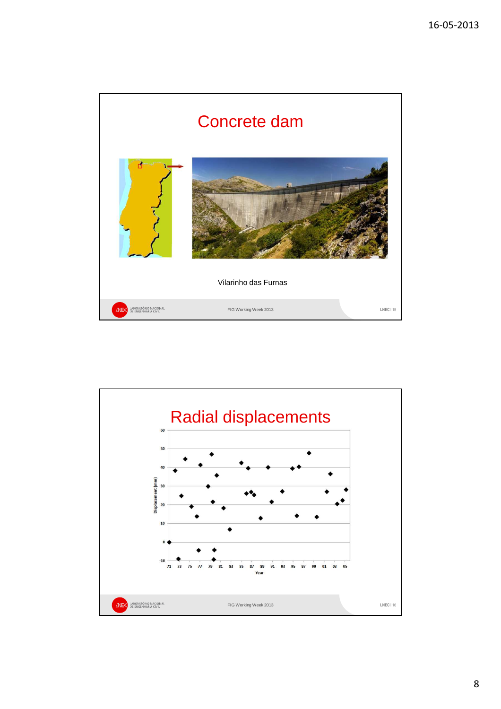

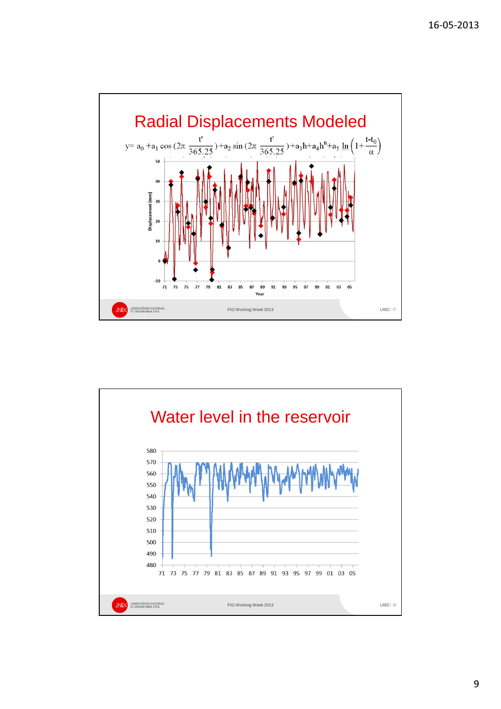

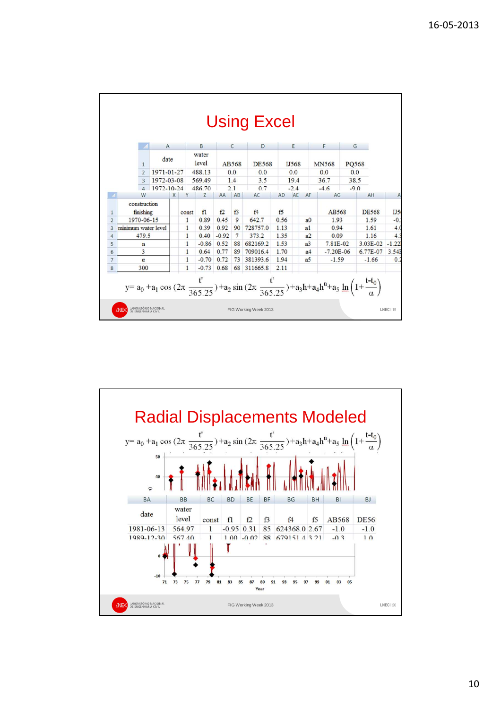|                |                                 |                           | $\mathsf{A}$         |              |         | B              |      | C        | D            |           | E              |               | F            |          | G            |     |
|----------------|---------------------------------|---------------------------|----------------------|--------------|---------|----------------|------|----------|--------------|-----------|----------------|---------------|--------------|----------|--------------|-----|
|                |                                 |                           | date<br>$\mathbf{1}$ |              |         | water<br>level |      | AB568    | <b>DE568</b> |           | IJ568          |               | <b>MN568</b> |          | PQ568        |     |
|                | $\overline{2}$<br>3<br>$\Delta$ |                           | 1971-01-27           |              |         | 488.13         | 0.0  |          | 0.0          |           | 0.0            |               | 0.0          |          | 0.0          |     |
|                |                                 |                           | 1972-03-08           |              |         | 569.49         | 1.4  |          | 3.5          |           | 19.4           |               | 36.7         |          | 38.5         |     |
|                |                                 |                           | 1972-10-24           |              |         | 486.70         | 2.1  |          | 0.7          |           | $-2.4$         |               | $-4.6$       |          | $-9.0$       |     |
|                |                                 | W                         |                      | X            | Y       | Z              | AA   | AB       | AC           | <b>AD</b> | AE             | AF            | AG           |          | AH           | A   |
| 1              |                                 | construction<br>finishing |                      |              | const   | fl             | f2   | f3       | f4           | f5        |                |               | AB568        |          | <b>DE568</b> | IJ5 |
| $\overline{2}$ | 1970-06-15                      |                           |                      | $\mathbf{1}$ | 0.89    | 0.45           | 9    | 642.7    | 0.56         |           | a <sub>0</sub> | 1.93          |              | 1.59     | $-0.$        |     |
| 3              | minimum water level             |                           |                      |              | 1       | 0.39           | 0.92 | 90       | 728757.0     | 1.13      |                | a1            |              | 0.94     |              | 4.0 |
| $\ddot{4}$     | 479.5                           |                           |                      | 1            | 0.40    | $-0.92$        | 7    | 373.2    | 1.35         |           | a <sup>2</sup> | 0.09          |              | 1.16     | 4.3          |     |
| 5              | $\mathbf n$                     |                           |                      | 1            | $-0.86$ | 0.52           | 88   | 682169.2 | 1.53         |           | a <sup>3</sup> | 7.81E-02      |              | 3.03E-02 | $-1.22$      |     |
| $6\phantom{1}$ | 3                               |                           |                      | 1            | 0.64    | 0.77           | 89   | 709016.4 | 1.70         |           | a <sub>4</sub> | $-7.20E - 06$ |              | 6.77E-07 | 3.541        |     |
| 7              | $\alpha$                        |                           |                      | 1            | $-0.70$ | 0.72           | 73   | 381393.6 | 1.94         |           | a <sub>5</sub> | $-1.59$       |              | $-1.66$  | 0.2          |     |
| 8              | 300                             |                           |                      | $\mathbf{1}$ | $-0.73$ | 0.68           | 68   | 311665.8 | 2.11         |           |                |               |              |          |              |     |

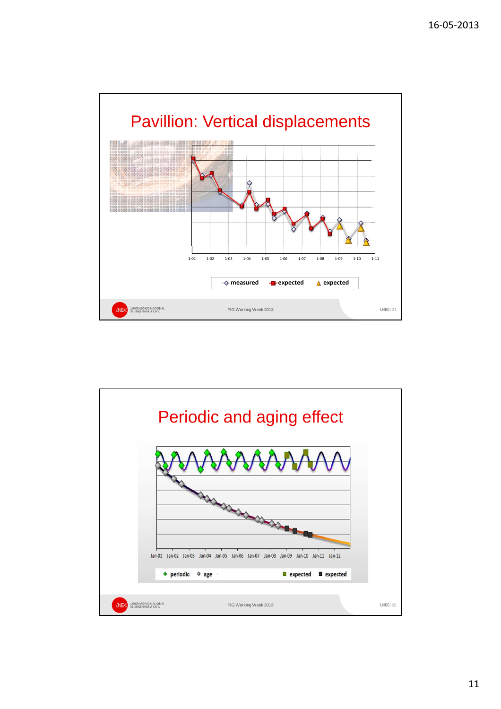